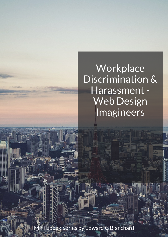Mini Ebook Series by Edward C Blanchard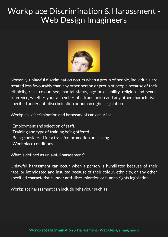

Normally, unlawful discrimination occurs when a group of people, individuals are treated less favourably than any other person or group of people because of their ethnicity, race, colour, sex, marital status, age or disability, religion and sexual reference, whether your a member of a trade union and any other characteristic specified under anti-discrimination or human rights legislation.

Workplace discrimination and harassment can occur in:

- · Employment and selection of staff.
- · Training and type of training being offered.
- · Being considered for a transfer, promotion or sacking.
- · Work place conditions.

What is defined as unlawful harassment?

Unlawful harassment can occur when a person is humiliated because of their race, or intimidated and insulted because of their colour, ethnicity, or any other specified characteristic under anti-discrimination or human rights legislation.

Workplace harassment can include behaviour such as: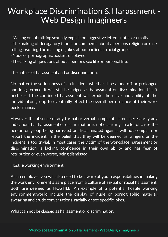• Mailing or submitting sexually explicit or suggestive letters, notes or emails.

· The making of derogatory taunts or comments about a persons religion or race. telling insulting The making of jokes about particular racial groups.

- ·Nude or pornographic posters displayed.
- · The asking of questions about a persons sex life or personal life.

The nature of harassment and or discrimination.

No matter the seriousness of an incident, whether it be a one-off or prolonged and long termed, it will still be judged as harassment or discrimination. If left unchecked the continued harassment will erode the drive and ability of the individual or group to eventually effect the overall performance of their work performance.

However the absence of any formal or verbal complaints is not necessarily any indication that harassment or discrimination is not occurring. In a lot of cases the person or group being harassed or discriminated against will not complain or report the incident in the belief that they will be deemed as wingers or the incident is too trivial. In most cases the victim of the workplace harassment or discrimination is lacking confidence in their own ability and has fear of retribution or even worse, being dismissed.

Hostile working environment

As an employer you will also need to be aware of your responsibilities in making the work environment a safe place from a culture of sexual or racial harassment. Both are deemed as HOSTILE. An example of a potential hostile working environmentwould include the display of nude or pornographic material, swearing and crude conversations, racially or sex specific jokes.

What can not be classed as harassment or discrimination.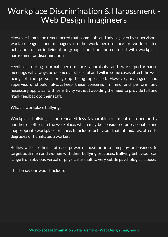However it must be remembered that comments and advice given by supervisors, work colleagues and managers on the work performance or work related behaviour of an individual or group should not be confused with workplace harassment or discrimination.

Feedback during normal performance appraisals and work performance meetings will always be deemed as stressful and will in some cases effect the well being of the person or group being appraised. However, managers and supervisors should always keep these concerns in mind and perform any necessary appraisal with sensitivity without avoiding the need to provide full and frank feedback to their staff.

What is workplace bullying?

Workplace bullying is the repeated less favourable treatment of a person by another or others in the workplace, which may be considered unreasonable and inappropriate workplace practice. It includes behaviour that intimidates, offends, degrades or humiliates a worker.

Bullies will use their status or power of position in a company or business to target both men and women with their bullying practices. Bullying behaviour can range from obvious verbal or physical assault to very subtle psychological abuse.

This behaviour would include: